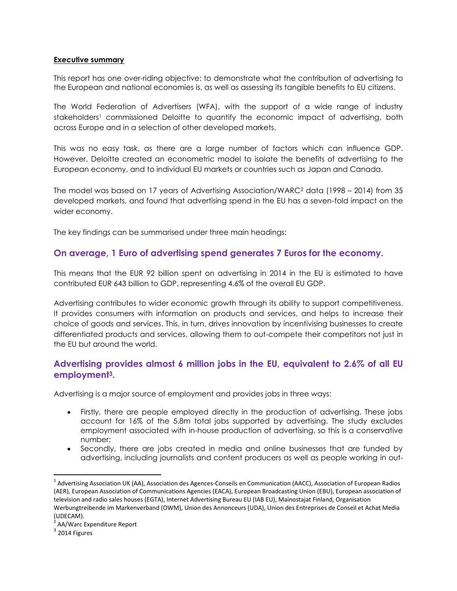## **Executive summary**

This report has one over-riding objective: to demonstrate what the contribution of advertising to the European and national economies is, as well as assessing its tangible benefits to EU citizens.

The World Federation of Advertisers (WFA), with the support of a wide range of industry stakeholders<sup>1</sup> commissioned Deloitte to quantify the economic impact of advertising, both across Europe and in a selection of other developed markets.

This was no easy task, as there are a large number of factors which can influence GDP. However, Deloitte created an econometric model to isolate the benefits of advertising to the European economy, and to individual EU markets or countries such as Japan and Canada.

The model was based on 17 years of Advertising Association/WARC<sup>2</sup> data (1998 – 2014) from 35 developed markets, and found that advertising spend in the EU has a seven-fold impact on the wider economy.

The key findings can be summarised under three main headings:

## **On average, 1 Euro of advertising spend generates 7 Euros for the economy.**

This means that the EUR 92 billion spent on advertising in 2014 in the EU is estimated to have contributed EUR 643 billion to GDP, representing 4.6% of the overall EU GDP.

Advertising contributes to wider economic growth through its ability to support competitiveness. It provides consumers with information on products and services, and helps to increase their choice of goods and services. This, in turn, drives innovation by incentivising businesses to create differentiated products and services, allowing them to out-compete their competitors not just in the EU but around the world.

## **Advertising provides almost 6 million jobs in the EU, equivalent to 2.6% of all EU employment3.**

Advertising is a major source of employment and provides jobs in three ways:

- Firstly, there are people employed directly in the production of advertising. These jobs account for 16% of the 5.8m total jobs supported by advertising. The study excludes employment associated with in-house production of advertising, so this is a conservative number;
- Secondly, there are jobs created in media and online businesses that are funded by advertising, including journalists and content producers as well as people working in out-

 $\overline{a}$ 

<sup>&</sup>lt;sup>1</sup> Advertising Association UK (AA), Association des Agences-Conseils en Communication (AACC), Association of European Radios (AER), European Association of Communications Agencies (EACA), European Broadcasting Union (EBU), European association of television and radio sales houses (EGTA), Internet Advertising Bureau EU (IAB EU), Mainostajat Finland, Organisation Werbungtreibende im Markenverband (OWM), Union des Annonceurs (UDA), Union des Entreprises de Conseil et Achat Media (UDECAM).

<sup>&</sup>lt;sup>2</sup> AA/Warc Expenditure Report

 $3$  2014 Figures